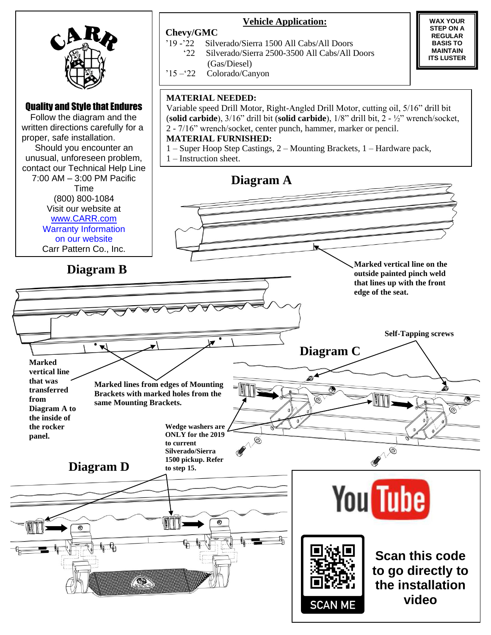